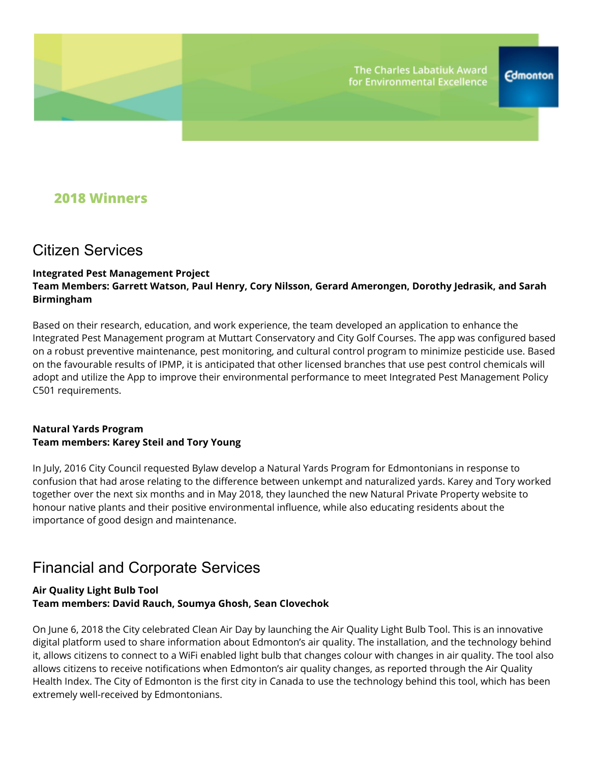### **2018 Winners**

### Citizen Services

#### **Integrated Pest Management Project Team Members: Garrett Watson, Paul Henry, Cory Nilsson, Gerard Amerongen, Dorothy Jedrasik, and Sarah Birmingham**

Based on their research, education, and work experience, the team developed an application to enhance the Integrated Pest Management program at Muttart Conservatory and City Golf Courses. The app was configured based on a robust preventive maintenance, pest monitoring, and cultural control program to minimize pesticide use. Based on the favourable results of IPMP, it is anticipated that other licensed branches that use pest control chemicals will adopt and utilize the App to improve their environmental performance to meet Integrated Pest Management Policy C501 requirements.

#### **Natural Yards Program Team members: Karey Steil and Tory Young**

In July, 2016 City Council requested Bylaw develop a Natural Yards Program for Edmontonians in response to confusion that had arose relating to the difference between unkempt and naturalized yards. Karey and Tory worked together over the next six months and in May 2018, they launched the new Natural Private Property website to honour native plants and their positive environmental influence, while also educating residents about the importance of good design and maintenance.

## Financial and Corporate Services

#### **Air Quality Light Bulb Tool Team members: David Rauch, Soumya Ghosh, Sean Clovechok**

On June 6, 2018 the City celebrated Clean Air Day by launching the Air Quality Light Bulb Tool. This is an innovative digital platform used to share information about Edmonton's air quality. The installation, and the technology behind it, allows citizens to connect to a WiFi enabled light bulb that changes colour with changes in air quality. The tool also allows citizens to receive notifications when Edmonton's air quality changes, as reported through the Air Quality Health Index. The City of Edmonton is the first city in Canada to use the technology behind this tool, which has been extremely well-received by Edmontonians.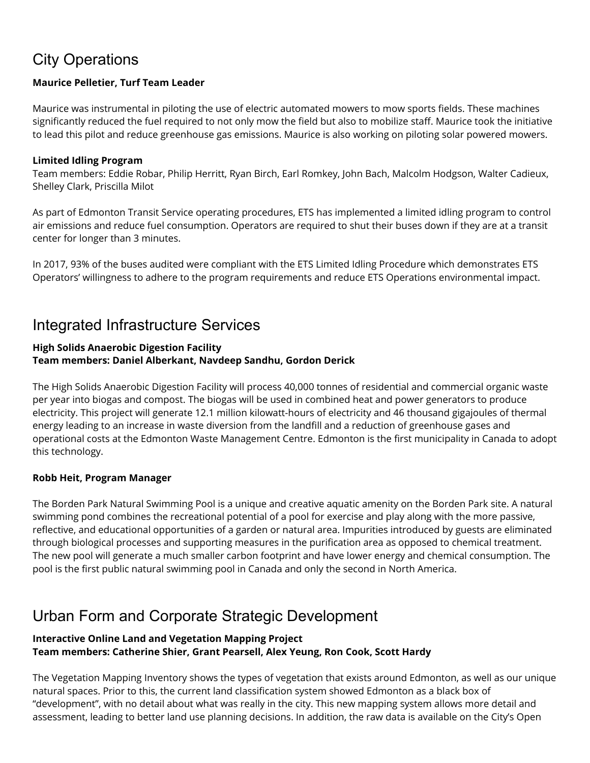# City Operations

#### **Maurice Pelletier, Turf Team Leader**

Maurice was instrumental in piloting the use of electric automated mowers to mow sports fields. These machines significantly reduced the fuel required to not only mow the field but also to mobilize staff. Maurice took the initiative to lead this pilot and reduce greenhouse gas emissions. Maurice is also working on piloting solar powered mowers.

#### **Limited Idling Program**

Team members: Eddie Robar, Philip Herritt, Ryan Birch, Earl Romkey, John Bach, Malcolm Hodgson, Walter Cadieux, Shelley Clark, Priscilla Milot

As part of Edmonton Transit Service operating procedures, ETS has implemented a limited idling program to control air emissions and reduce fuel consumption. Operators are required to shut their buses down if they are at a transit center for longer than 3 minutes.

In 2017, 93% of the buses audited were compliant with the ETS Limited Idling Procedure which demonstrates ETS Operators' willingness to adhere to the program requirements and reduce ETS Operations environmental impact.

## Integrated Infrastructure Services

#### **High Solids Anaerobic Digestion Facility Team members: Daniel Alberkant, Navdeep Sandhu, Gordon Derick**

The High Solids Anaerobic Digestion Facility will process 40,000 tonnes of residential and commercial organic waste per year into biogas and compost. The biogas will be used in combined heat and power generators to produce electricity. This project will generate 12.1 million kilowatt-hours of electricity and 46 thousand gigajoules of thermal energy leading to an increase in waste diversion from the landfill and a reduction of greenhouse gases and operational costs at the Edmonton Waste Management Centre. Edmonton is the first municipality in Canada to adopt this technology.

#### **Robb Heit, Program Manager**

The Borden Park Natural Swimming Pool is a unique and creative aquatic amenity on the Borden Park site. A natural swimming pond combines the recreational potential of a pool for exercise and play along with the more passive, reflective, and educational opportunities of a garden or natural area. Impurities introduced by guests are eliminated through biological processes and supporting measures in the purification area as opposed to chemical treatment. The new pool will generate a much smaller carbon footprint and have lower energy and chemical consumption. The pool is the first public natural swimming pool in Canada and only the second in North America.

# Urban Form and Corporate Strategic Development

#### **Interactive Online Land and Vegetation Mapping Project Team members: Catherine Shier, Grant Pearsell, Alex Yeung, Ron Cook, Scott Hardy**

The Vegetation Mapping Inventory shows the types of vegetation that exists around Edmonton, as well as our unique natural spaces. Prior to this, the current land classification system showed Edmonton as a black box of "development", with no detail about what was really in the city. This new mapping system allows more detail and assessment, leading to better land use planning decisions. In addition, the raw data is available on the City's Open